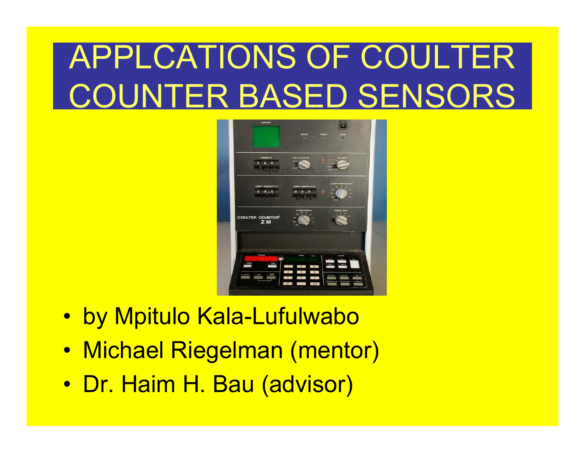# APPLCATIONS OF COULTER COUNTER BASED SENSORS



- $\bullet$ by Mpitulo Kala-Lufulwabo
- $\bullet$ Michael Riegelman (mentor)
- $\bullet$ Dr. Haim H. Bau (advisor)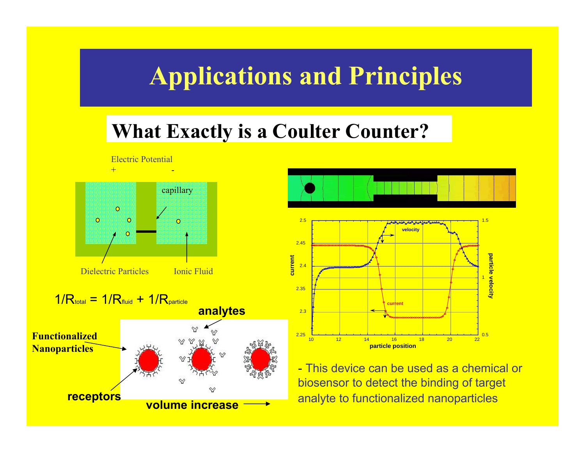## **Applications and Principles**

### **What Exactly is a Coulter Counter?**





- This device can be used as a chemical or biosensor to detect the binding of target analyte to functionalized nanoparticles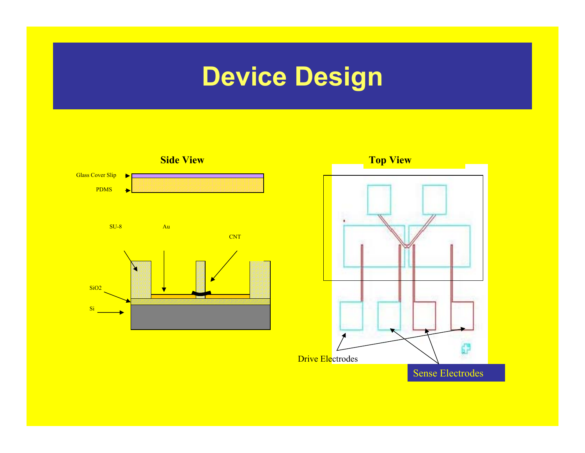# **Device Design**

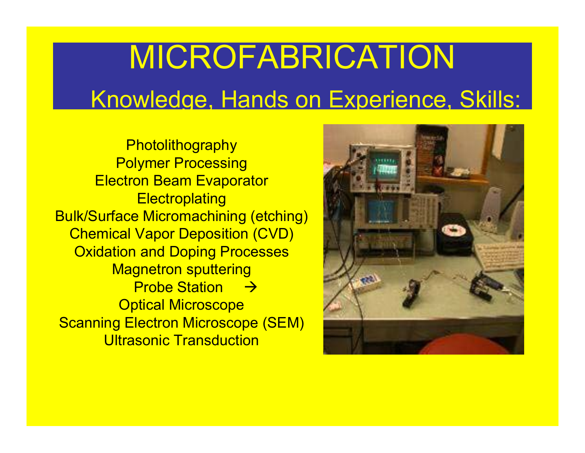# MICROFABRICATION Knowledge, Hands on Experience, Skills:

**Photolithography** Polymer Processing Electron Beam Evaporator **Electroplating** Bulk/Surface Micromachining (etching) Chemical Vapor Deposition (CVD) Oxidation and Doping Processes Magnetron sputtering Probe Station  $\quad$   $\rightarrow$ Optical Microscope Scanning Electron Microscope (SEM) **Ultrasonic Transduction** 

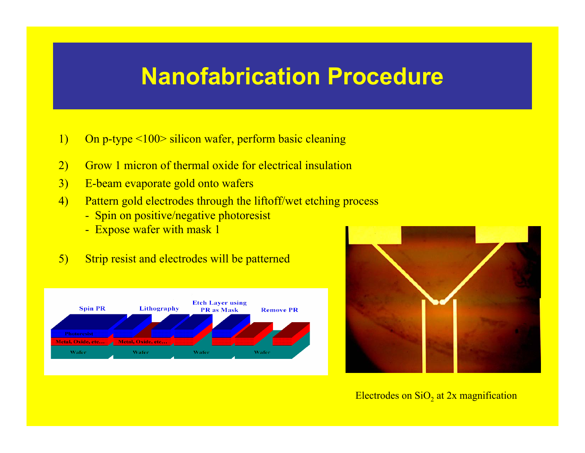### **Nanofabrication Procedure**

- 1) On p-type <100> silicon wafer, perform basic cleaning
- 2) Grow 1 micron of thermal oxide for electrical insulation
- 3) E-beam evaporate gold onto wafers
- 4) Pattern gold electrodes through the liftoff/wet etching process
	- Spin on positive/negative photoresist
	- Expose wafer with mask 1
- 5) Strip resist and electrodes will be patterned





Electrodes on Si $\mathrm{O}_2$  at 2x magnification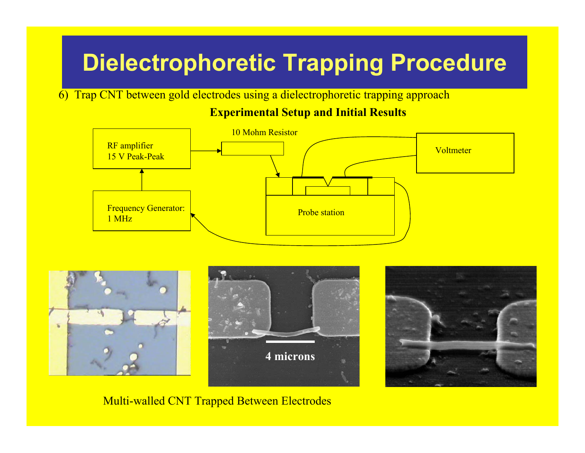## **Dielectrophoretic Trapping Procedure**

6) Trap CNT between gold electrodes using a dielectrophoretic trapping approach

#### **Experimental Setup and Initial Results**





#### Multi-walled CNT Trapped Between Electrodes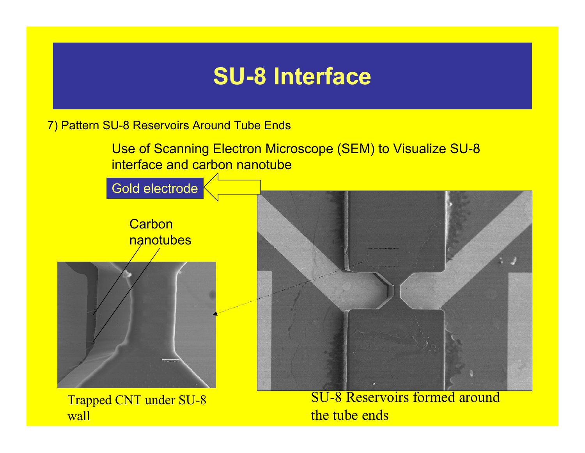### **SU-8 Interface**

7) Pattern SU-8 Reservoirs Around Tube Ends

Use of Scanning Electron Microscope (SEM) to Visualize SU-8 interface and carbon nanotube

Gold electrode

**Carbon** nanotubes



Trapped CNT under SU-8 wall



SU-8 Reservoirs formed around the tube ends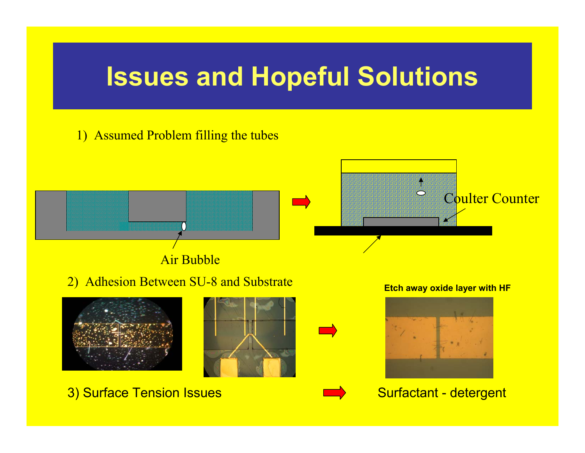## **Issues and Hopeful Solutions**

#### 1) Assumed Problem filling the tubes

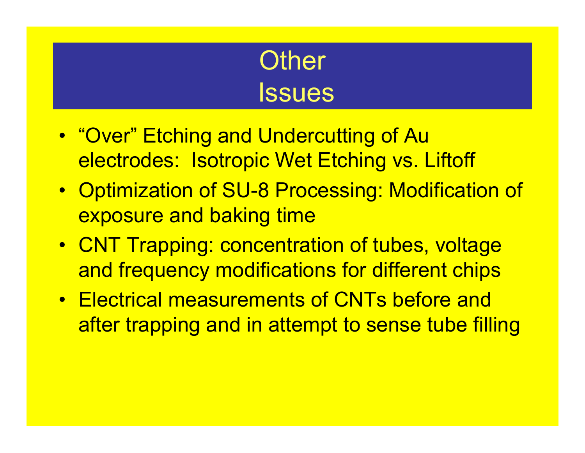# **Other Issues**

- "Over" Etching and Undercutting of Au electrodes: Isotropic Wet Etching vs. Liftoff
- Optimization of SU-8 Processing: Modification of exposure and baking time
- CNT Trapping: concentration of tubes, voltage and frequency modifications for different chips
- Electrical measurements of CNTs before and after trapping and in attempt to sense tube filling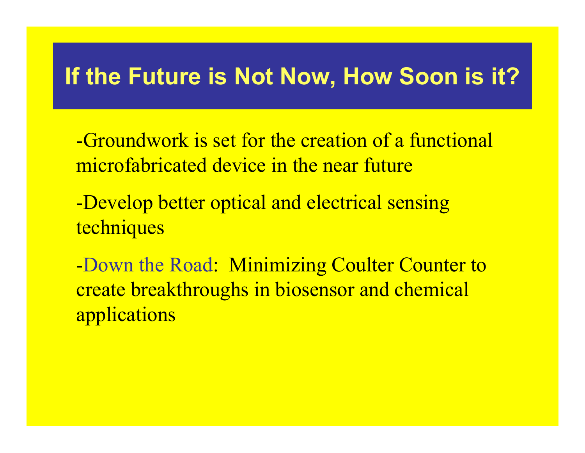### **If the Future is Not Now, How Soon is it?**

- -Groundwork is set for the creation of a functional microfabricated device in the near future
- -Develop better optical and electrical sensing techniques

-Down the Road: Minimizing Coulter Counter to create breakthroughs in biosensor and chemical applications